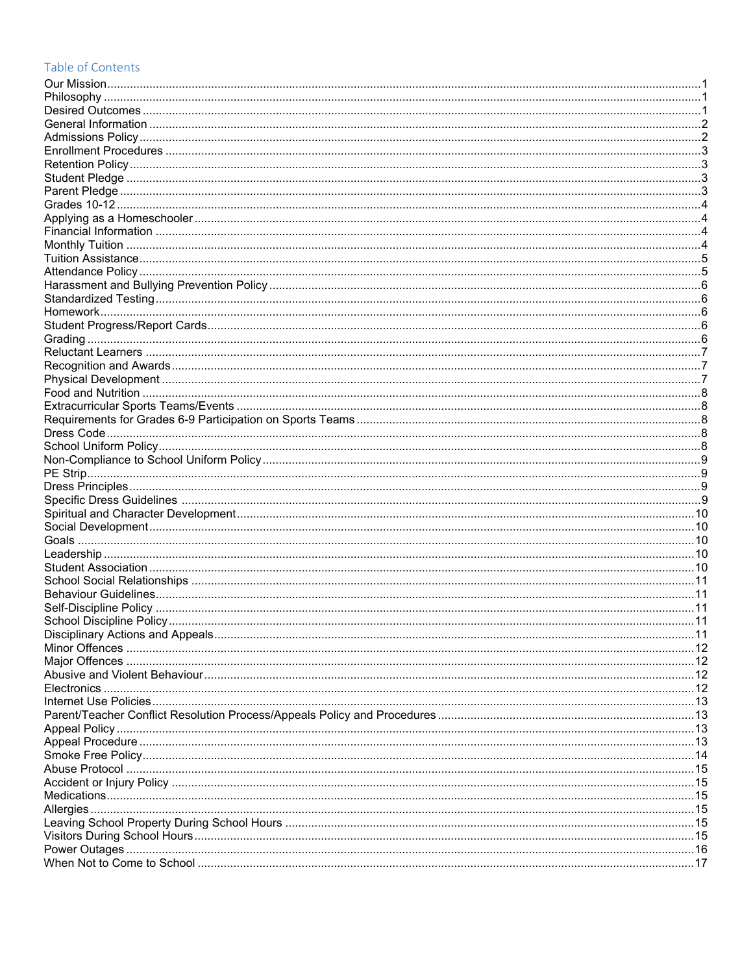## Table of Contents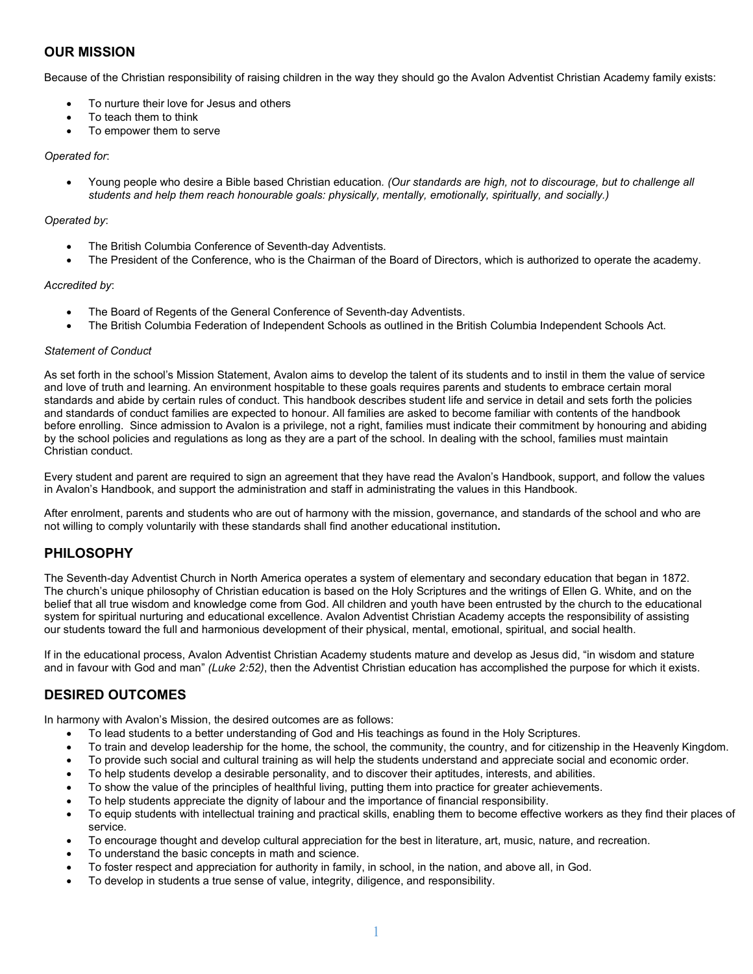## **OUR MISSION**

Because of the Christian responsibility of raising children in the way they should go the Avalon Adventist Christian Academy family exists:

- To nurture their love for Jesus and others
- To teach them to think
- To empower them to serve

#### *Operated for*:

• Young people who desire a Bible based Christian education*. (Our standards are high, not to discourage, but to challenge all students and help them reach honourable goals: physically, mentally, emotionally, spiritually, and socially.)*

#### *Operated by*:

- The British Columbia Conference of Seventh-day Adventists.
- The President of the Conference, who is the Chairman of the Board of Directors, which is authorized to operate the academy.

#### *Accredited by*:

- The Board of Regents of the General Conference of Seventh-day Adventists.
- The British Columbia Federation of Independent Schools as outlined in the British Columbia Independent Schools Act.

#### *Statement of Conduct*

As set forth in the school's Mission Statement, Avalon aims to develop the talent of its students and to instil in them the value of service and love of truth and learning. An environment hospitable to these goals requires parents and students to embrace certain moral standards and abide by certain rules of conduct. This handbook describes student life and service in detail and sets forth the policies and standards of conduct families are expected to honour. All families are asked to become familiar with contents of the handbook before enrolling. Since admission to Avalon is a privilege, not a right, families must indicate their commitment by honouring and abiding by the school policies and regulations as long as they are a part of the school. In dealing with the school, families must maintain Christian conduct.

Every student and parent are required to sign an agreement that they have read the Avalon's Handbook, support, and follow the values in Avalon's Handbook, and support the administration and staff in administrating the values in this Handbook.

After enrolment, parents and students who are out of harmony with the mission, governance, and standards of the school and who are not willing to comply voluntarily with these standards shall find another educational institution**.**

### **PHILOSOPHY**

The Seventh-day Adventist Church in North America operates a system of elementary and secondary education that began in 1872. The church's unique philosophy of Christian education is based on the Holy Scriptures and the writings of Ellen G. White, and on the belief that all true wisdom and knowledge come from God. All children and youth have been entrusted by the church to the educational system for spiritual nurturing and educational excellence. Avalon Adventist Christian Academy accepts the responsibility of assisting our students toward the full and harmonious development of their physical, mental, emotional, spiritual, and social health.

If in the educational process, Avalon Adventist Christian Academy students mature and develop as Jesus did, "in wisdom and stature and in favour with God and man" *(Luke 2:52)*, then the Adventist Christian education has accomplished the purpose for which it exists.

## **DESIRED OUTCOMES**

In harmony with Avalon's Mission, the desired outcomes are as follows:

- To lead students to a better understanding of God and His teachings as found in the Holy Scriptures.
- To train and develop leadership for the home, the school, the community, the country, and for citizenship in the Heavenly Kingdom.
- To provide such social and cultural training as will help the students understand and appreciate social and economic order.
- To help students develop a desirable personality, and to discover their aptitudes, interests, and abilities.
- To show the value of the principles of healthful living, putting them into practice for greater achievements.
- To help students appreciate the dignity of labour and the importance of financial responsibility.
- To equip students with intellectual training and practical skills, enabling them to become effective workers as they find their places of service.
- To encourage thought and develop cultural appreciation for the best in literature, art, music, nature, and recreation.
- To understand the basic concepts in math and science.
- To foster respect and appreciation for authority in family, in school, in the nation, and above all, in God.
- To develop in students a true sense of value, integrity, diligence, and responsibility.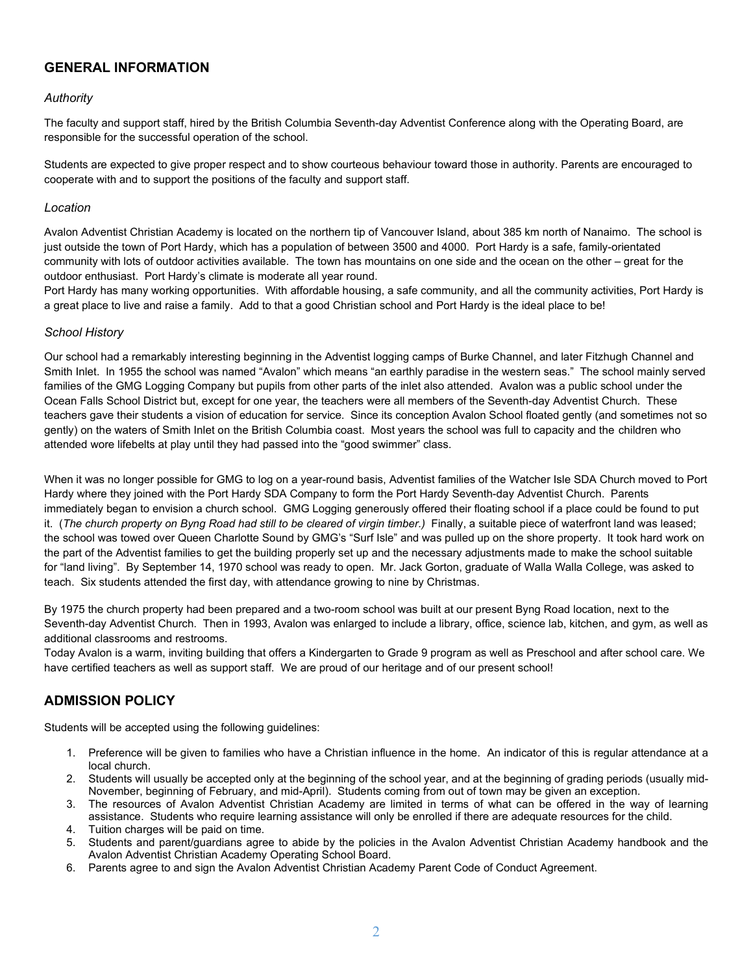## **GENERAL INFORMATION**

#### *Authority*

The faculty and support staff, hired by the British Columbia Seventh-day Adventist Conference along with the Operating Board, are responsible for the successful operation of the school.

Students are expected to give proper respect and to show courteous behaviour toward those in authority. Parents are encouraged to cooperate with and to support the positions of the faculty and support staff.

#### *Location*

Avalon Adventist Christian Academy is located on the northern tip of Vancouver Island, about 385 km north of Nanaimo. The school is just outside the town of Port Hardy, which has a population of between 3500 and 4000. Port Hardy is a safe, family-orientated community with lots of outdoor activities available. The town has mountains on one side and the ocean on the other – great for the outdoor enthusiast. Port Hardy's climate is moderate all year round.

Port Hardy has many working opportunities. With affordable housing, a safe community, and all the community activities, Port Hardy is a great place to live and raise a family. Add to that a good Christian school and Port Hardy is the ideal place to be!

#### *School History*

Our school had a remarkably interesting beginning in the Adventist logging camps of Burke Channel, and later Fitzhugh Channel and Smith Inlet. In 1955 the school was named "Avalon" which means "an earthly paradise in the western seas." The school mainly served families of the GMG Logging Company but pupils from other parts of the inlet also attended. Avalon was a public school under the Ocean Falls School District but, except for one year, the teachers were all members of the Seventh-day Adventist Church. These teachers gave their students a vision of education for service. Since its conception Avalon School floated gently (and sometimes not so gently) on the waters of Smith Inlet on the British Columbia coast. Most years the school was full to capacity and the children who attended wore lifebelts at play until they had passed into the "good swimmer" class.

When it was no longer possible for GMG to log on a year-round basis, Adventist families of the Watcher Isle SDA Church moved to Port Hardy where they joined with the Port Hardy SDA Company to form the Port Hardy Seventh-day Adventist Church. Parents immediately began to envision a church school. GMG Logging generously offered their floating school if a place could be found to put it. (*The church property on Byng Road had still to be cleared of virgin timber.)* Finally, a suitable piece of waterfront land was leased; the school was towed over Queen Charlotte Sound by GMG's "Surf Isle" and was pulled up on the shore property. It took hard work on the part of the Adventist families to get the building properly set up and the necessary adjustments made to make the school suitable for "land living". By September 14, 1970 school was ready to open. Mr. Jack Gorton, graduate of Walla Walla College, was asked to teach. Six students attended the first day, with attendance growing to nine by Christmas.

By 1975 the church property had been prepared and a two-room school was built at our present Byng Road location, next to the Seventh-day Adventist Church. Then in 1993, Avalon was enlarged to include a library, office, science lab, kitchen, and gym, as well as additional classrooms and restrooms.

Today Avalon is a warm, inviting building that offers a Kindergarten to Grade 9 program as well as Preschool and after school care. We have certified teachers as well as support staff. We are proud of our heritage and of our present school!

## **ADMISSION POLICY**

Students will be accepted using the following guidelines:

- 1. Preference will be given to families who have a Christian influence in the home. An indicator of this is regular attendance at a local church.
- 2. Students will usually be accepted only at the beginning of the school year, and at the beginning of grading periods (usually mid-November, beginning of February, and mid-April). Students coming from out of town may be given an exception.
- 3. The resources of Avalon Adventist Christian Academy are limited in terms of what can be offered in the way of learning assistance. Students who require learning assistance will only be enrolled if there are adequate resources for the child.
- 4. Tuition charges will be paid on time.
- 5. Students and parent/guardians agree to abide by the policies in the Avalon Adventist Christian Academy handbook and the Avalon Adventist Christian Academy Operating School Board.
- 6. Parents agree to and sign the Avalon Adventist Christian Academy Parent Code of Conduct Agreement.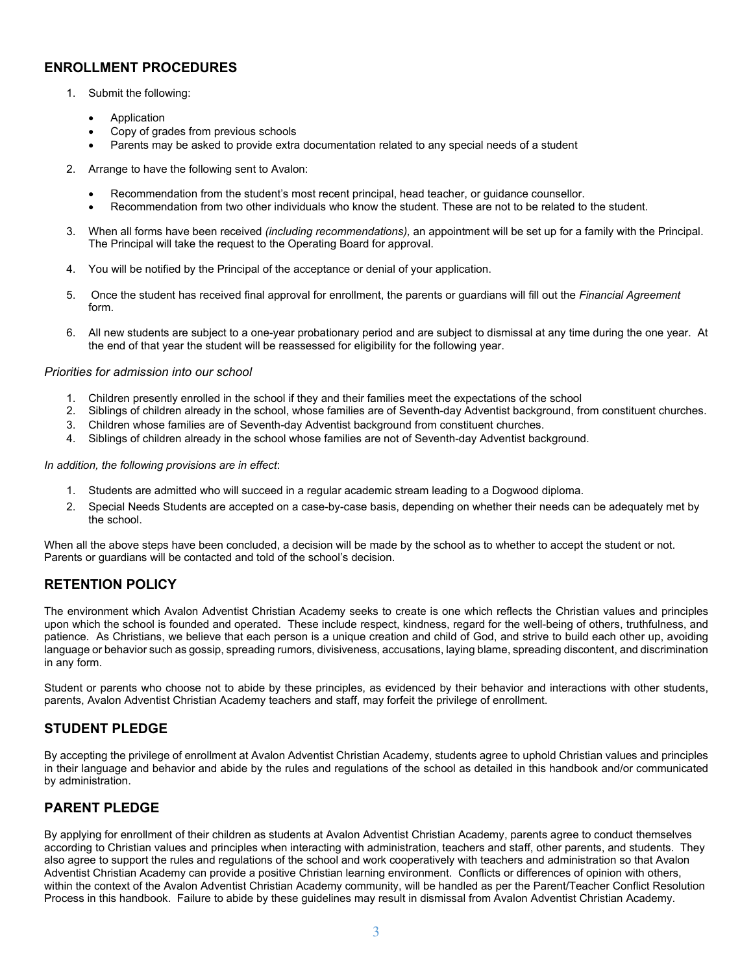## **ENROLLMENT PROCEDURES**

- 1. Submit the following:
	- **Application**
	- Copy of grades from previous schools
	- Parents may be asked to provide extra documentation related to any special needs of a student
- 2. Arrange to have the following sent to Avalon:
	- Recommendation from the student's most recent principal, head teacher, or guidance counsellor.
	- Recommendation from two other individuals who know the student. These are not to be related to the student.
- 3. When all forms have been received *(including recommendations),* an appointment will be set up for a family with the Principal. The Principal will take the request to the Operating Board for approval.
- 4. You will be notified by the Principal of the acceptance or denial of your application.
- 5. Once the student has received final approval for enrollment, the parents or guardians will fill out the *Financial Agreement* form.
- 6. All new students are subject to a one-year probationary period and are subject to dismissal at any time during the one year. At the end of that year the student will be reassessed for eligibility for the following year.

#### *Priorities for admission into our school*

- 1. Children presently enrolled in the school if they and their families meet the expectations of the school
- 2. Siblings of children already in the school, whose families are of Seventh-day Adventist background, from constituent churches.
- 3. Children whose families are of Seventh-day Adventist background from constituent churches.
- 4. Siblings of children already in the school whose families are not of Seventh-day Adventist background.

#### *In addition, the following provisions are in effect*:

- 1. Students are admitted who will succeed in a regular academic stream leading to a Dogwood diploma.
- 2. Special Needs Students are accepted on a case-by-case basis, depending on whether their needs can be adequately met by the school.

When all the above steps have been concluded, a decision will be made by the school as to whether to accept the student or not. Parents or guardians will be contacted and told of the school's decision.

## **RETENTION POLICY**

The environment which Avalon Adventist Christian Academy seeks to create is one which reflects the Christian values and principles upon which the school is founded and operated. These include respect, kindness, regard for the well-being of others, truthfulness, and patience. As Christians, we believe that each person is a unique creation and child of God, and strive to build each other up, avoiding language or behavior such as gossip, spreading rumors, divisiveness, accusations, laying blame, spreading discontent, and discrimination in any form.

Student or parents who choose not to abide by these principles, as evidenced by their behavior and interactions with other students, parents, Avalon Adventist Christian Academy teachers and staff, may forfeit the privilege of enrollment.

## **STUDENT PLEDGE**

By accepting the privilege of enrollment at Avalon Adventist Christian Academy, students agree to uphold Christian values and principles in their language and behavior and abide by the rules and regulations of the school as detailed in this handbook and/or communicated by administration.

## **PARENT PLEDGE**

By applying for enrollment of their children as students at Avalon Adventist Christian Academy, parents agree to conduct themselves according to Christian values and principles when interacting with administration, teachers and staff, other parents, and students. They also agree to support the rules and regulations of the school and work cooperatively with teachers and administration so that Avalon Adventist Christian Academy can provide a positive Christian learning environment. Conflicts or differences of opinion with others, within the context of the Avalon Adventist Christian Academy community, will be handled as per the Parent/Teacher Conflict Resolution Process in this handbook. Failure to abide by these guidelines may result in dismissal from Avalon Adventist Christian Academy.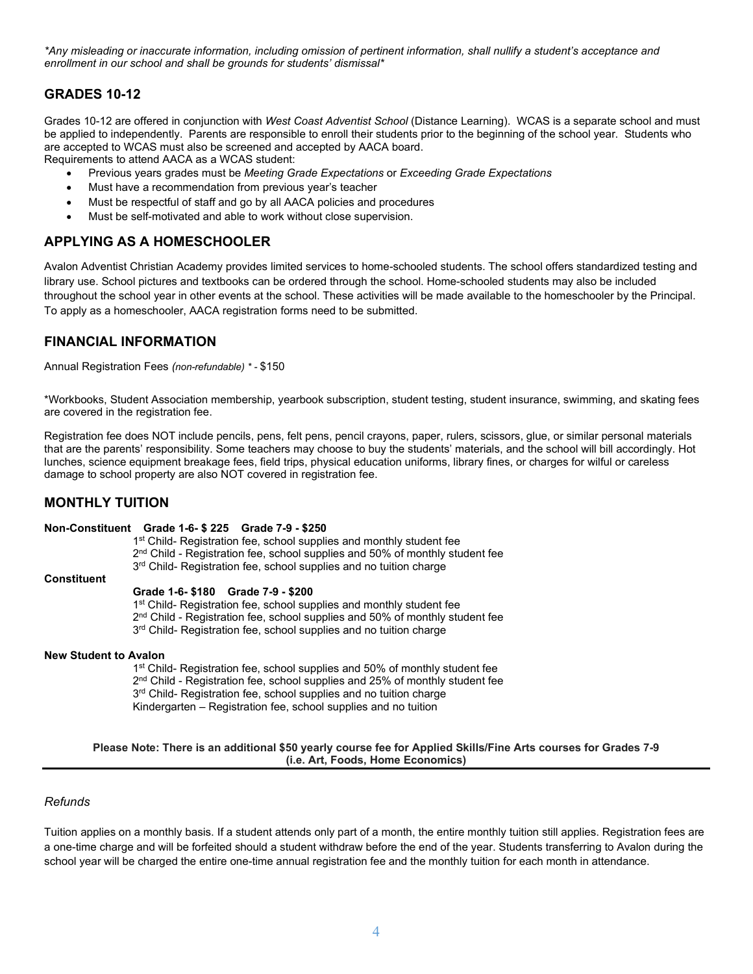*\*Any misleading or inaccurate information, including omission of pertinent information, shall nullify a student's acceptance and enrollment in our school and shall be grounds for students' dismissal\**

## **GRADES 10-12**

Grades 10-12 are offered in conjunction with *West Coast Adventist School* (Distance Learning). WCAS is a separate school and must be applied to independently. Parents are responsible to enroll their students prior to the beginning of the school year. Students who are accepted to WCAS must also be screened and accepted by AACA board.

Requirements to attend AACA as a WCAS student:

- Previous years grades must be *Meeting Grade Expectations* or *Exceeding Grade Expectations*
- Must have a recommendation from previous year's teacher
- Must be respectful of staff and go by all AACA policies and procedures
- Must be self-motivated and able to work without close supervision.

## **APPLYING AS A HOMESCHOOLER**

Avalon Adventist Christian Academy provides limited services to home-schooled students. The school offers standardized testing and library use. School pictures and textbooks can be ordered through the school. Home-schooled students may also be included throughout the school year in other events at the school. These activities will be made available to the homeschooler by the Principal. To apply as a homeschooler, AACA registration forms need to be submitted.

## **FINANCIAL INFORMATION**

Annual Registration Fees *(non-refundable) \* -* \$150

\*Workbooks, Student Association membership, yearbook subscription, student testing, student insurance, swimming, and skating fees are covered in the registration fee.

Registration fee does NOT include pencils, pens, felt pens, pencil crayons, paper, rulers, scissors, glue, or similar personal materials that are the parents' responsibility. Some teachers may choose to buy the students' materials, and the school will bill accordingly. Hot lunches, science equipment breakage fees, field trips, physical education uniforms, library fines, or charges for wilful or careless damage to school property are also NOT covered in registration fee.

### **MONTHLY TUITION**

#### **Non-Constituent Grade 1-6- \$ 225 Grade 7-9 - \$250**

1<sup>st</sup> Child- Registration fee, school supplies and monthly student fee 2<sup>nd</sup> Child - Registration fee, school supplies and 50% of monthly student fee 3<sup>rd</sup> Child- Registration fee, school supplies and no tuition charge

#### **Constituent**

#### **Grade 1-6- \$180 Grade 7-9 - \$200**

1<sup>st</sup> Child- Registration fee, school supplies and monthly student fee  $2<sup>nd</sup>$  Child - Registration fee, school supplies and 50% of monthly student fee 3<sup>rd</sup> Child- Registration fee, school supplies and no tuition charge

#### **New Student to Avalon**

1<sup>st</sup> Child- Registration fee, school supplies and 50% of monthly student fee 2<sup>nd</sup> Child - Registration fee, school supplies and 25% of monthly student fee 3<sup>rd</sup> Child- Registration fee, school supplies and no tuition charge Kindergarten – Registration fee, school supplies and no tuition

#### **Please Note: There is an additional \$50 yearly course fee for Applied Skills/Fine Arts courses for Grades 7-9 (i.e. Art, Foods, Home Economics)**

#### *Refunds*

Tuition applies on a monthly basis. If a student attends only part of a month, the entire monthly tuition still applies. Registration fees are a one-time charge and will be forfeited should a student withdraw before the end of the year. Students transferring to Avalon during the school year will be charged the entire one-time annual registration fee and the monthly tuition for each month in attendance.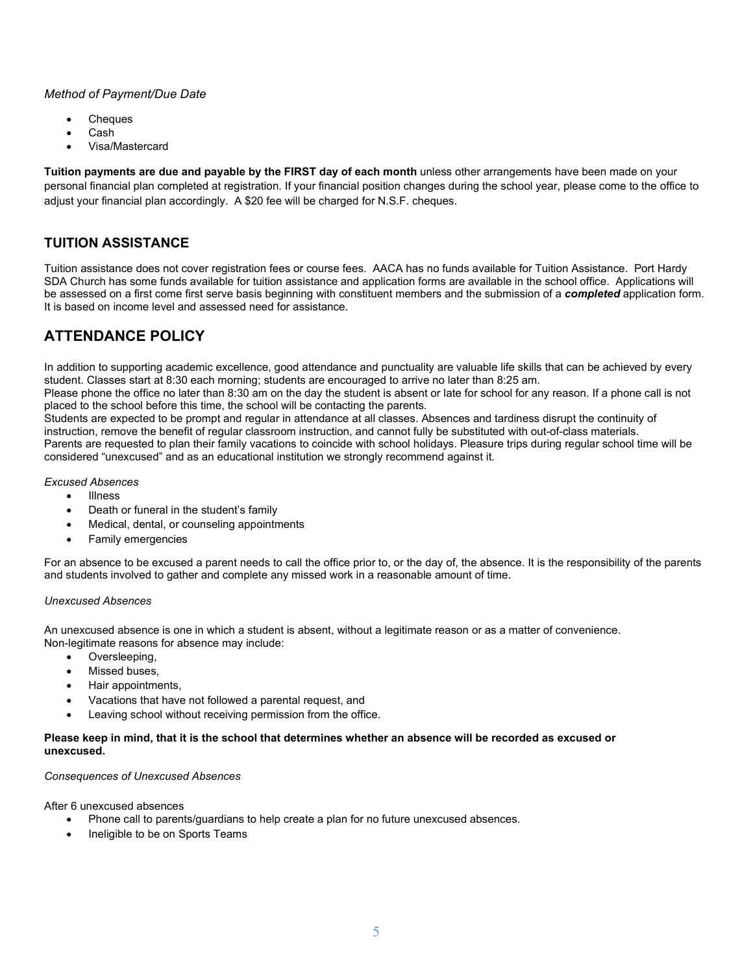#### *Method of Payment/Due Date*

- **Cheques**
- Cash
- Visa/Mastercard

**Tuition payments are due and payable by the FIRST day of each month** unless other arrangements have been made on your personal financial plan completed at registration. If your financial position changes during the school year, please come to the office to adjust your financial plan accordingly. A \$20 fee will be charged for N.S.F. cheques.

# **TUITION ASSISTANCE**

Tuition assistance does not cover registration fees or course fees. AACA has no funds available for Tuition Assistance. Port Hardy SDA Church has some funds available for tuition assistance and application forms are available in the school office. Applications will be assessed on a first come first serve basis beginning with constituent members and the submission of a *completed* application form. It is based on income level and assessed need for assistance.

# **ATTENDANCE POLICY**

In addition to supporting academic excellence, good attendance and punctuality are valuable life skills that can be achieved by every student. Classes start at 8:30 each morning; students are encouraged to arrive no later than 8:25 am.

Please phone the office no later than 8:30 am on the day the student is absent or late for school for any reason. If a phone call is not placed to the school before this time, the school will be contacting the parents.

Students are expected to be prompt and regular in attendance at all classes. Absences and tardiness disrupt the continuity of instruction, remove the benefit of regular classroom instruction, and cannot fully be substituted with out-of-class materials. Parents are requested to plan their family vacations to coincide with school holidays. Pleasure trips during regular school time will be considered "unexcused" and as an educational institution we strongly recommend against it.

#### *Excused Absences*

- Illness
- Death or funeral in the student's family
- Medical, dental, or counseling appointments
- Family emergencies

For an absence to be excused a parent needs to call the office prior to, or the day of, the absence. It is the responsibility of the parents and students involved to gather and complete any missed work in a reasonable amount of time.

#### *Unexcused Absences*

An unexcused absence is one in which a student is absent, without a legitimate reason or as a matter of convenience. Non-legitimate reasons for absence may include:

- Oversleeping,
- Missed buses,
- Hair appointments,
- Vacations that have not followed a parental request, and
- Leaving school without receiving permission from the office.

#### **Please keep in mind, that it is the school that determines whether an absence will be recorded as excused or unexcused.**

#### *Consequences of Unexcused Absences*

After 6 unexcused absences

- Phone call to parents/guardians to help create a plan for no future unexcused absences.
- Ineligible to be on Sports Teams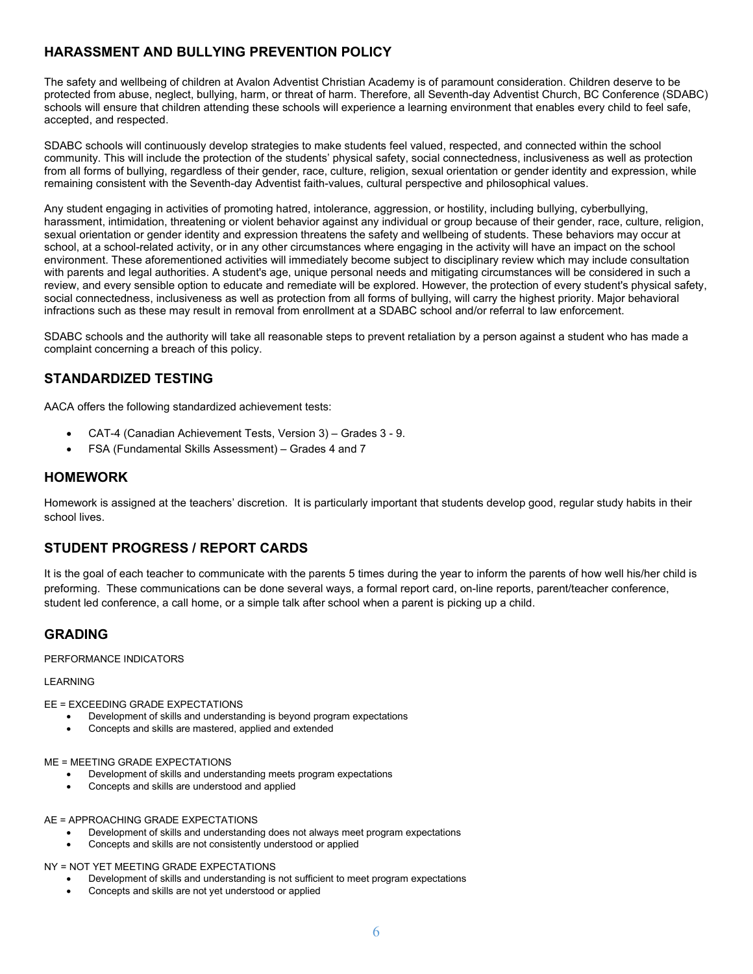# **HARASSMENT AND BULLYING PREVENTION POLICY**

The safety and wellbeing of children at Avalon Adventist Christian Academy is of paramount consideration. Children deserve to be protected from abuse, neglect, bullying, harm, or threat of harm. Therefore, all Seventh-day Adventist Church, BC Conference (SDABC) schools will ensure that children attending these schools will experience a learning environment that enables every child to feel safe, accepted, and respected.

SDABC schools will continuously develop strategies to make students feel valued, respected, and connected within the school community. This will include the protection of the students' physical safety, social connectedness, inclusiveness as well as protection from all forms of bullying, regardless of their gender, race, culture, religion, sexual orientation or gender identity and expression, while remaining consistent with the Seventh-day Adventist faith-values, cultural perspective and philosophical values.

Any student engaging in activities of promoting hatred, intolerance, aggression, or hostility, including bullying, cyberbullying, harassment, intimidation, threatening or violent behavior against any individual or group because of their gender, race, culture, religion, sexual orientation or gender identity and expression threatens the safety and wellbeing of students. These behaviors may occur at school, at a school-related activity, or in any other circumstances where engaging in the activity will have an impact on the school environment. These aforementioned activities will immediately become subject to disciplinary review which may include consultation with parents and legal authorities. A student's age, unique personal needs and mitigating circumstances will be considered in such a review, and every sensible option to educate and remediate will be explored. However, the protection of every student's physical safety, social connectedness, inclusiveness as well as protection from all forms of bullying, will carry the highest priority. Major behavioral infractions such as these may result in removal from enrollment at a SDABC school and/or referral to law enforcement.

SDABC schools and the authority will take all reasonable steps to prevent retaliation by a person against a student who has made a complaint concerning a breach of this policy.

## **STANDARDIZED TESTING**

AACA offers the following standardized achievement tests:

- CAT-4 (Canadian Achievement Tests, Version 3) Grades 3 9.
- FSA (Fundamental Skills Assessment) Grades 4 and 7

### **HOMEWORK**

Homework is assigned at the teachers' discretion. It is particularly important that students develop good, regular study habits in their school lives.

## **STUDENT PROGRESS / REPORT CARDS**

It is the goal of each teacher to communicate with the parents 5 times during the year to inform the parents of how well his/her child is preforming. These communications can be done several ways, a formal report card, on-line reports, parent/teacher conference, student led conference, a call home, or a simple talk after school when a parent is picking up a child.

### **GRADING**

PERFORMANCE INDICATORS

#### LEARNING

#### EE = EXCEEDING GRADE EXPECTATIONS

- Development of skills and understanding is beyond program expectations
- Concepts and skills are mastered, applied and extended

#### ME = MEETING GRADE EXPECTATIONS

- Development of skills and understanding meets program expectations
- Concepts and skills are understood and applied
- AE = APPROACHING GRADE EXPECTATIONS
	- Development of skills and understanding does not always meet program expectations
	- Concepts and skills are not consistently understood or applied

NY = NOT YET MEETING GRADE EXPECTATIONS

- Development of skills and understanding is not sufficient to meet program expectations
- Concepts and skills are not yet understood or applied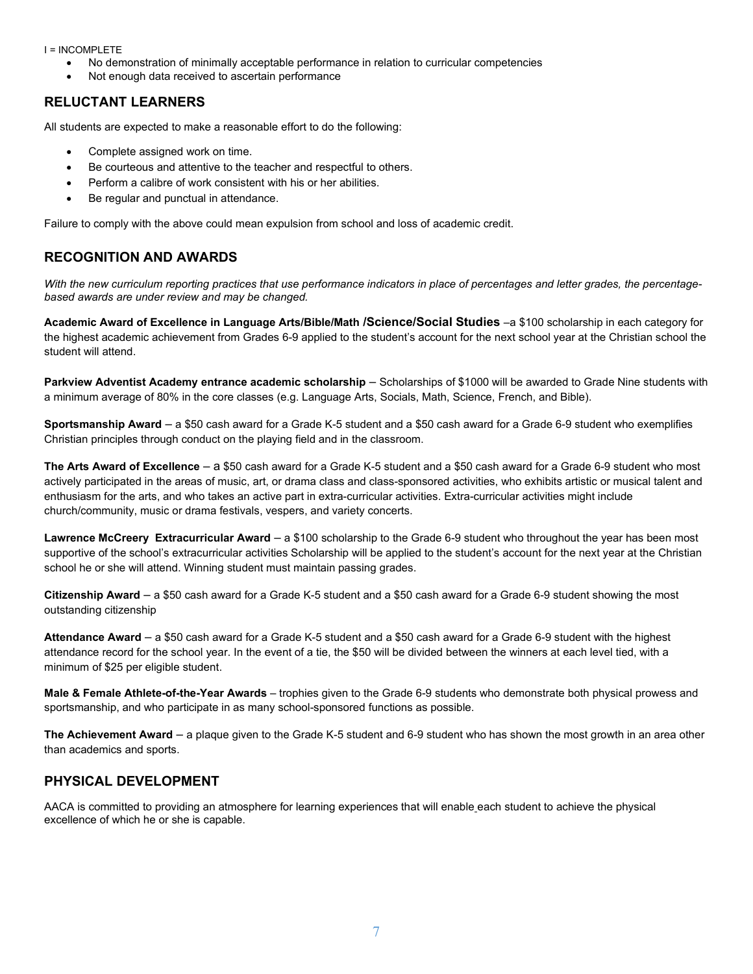#### I = INCOMPLETE

- No demonstration of minimally acceptable performance in relation to curricular competencies
- Not enough data received to ascertain performance

# **RELUCTANT LEARNERS**

All students are expected to make a reasonable effort to do the following:

- Complete assigned work on time.
- Be courteous and attentive to the teacher and respectful to others.
- Perform a calibre of work consistent with his or her abilities.
- Be regular and punctual in attendance.

Failure to comply with the above could mean expulsion from school and loss of academic credit.

## **RECOGNITION AND AWARDS**

*With the new curriculum reporting practices that use performance indicators in place of percentages and letter grades, the percentagebased awards are under review and may be changed.*

**Academic Award of Excellence in Language Arts/Bible/Math /Science/Social Studies** –a \$100 scholarship in each category for the highest academic achievement from Grades 6-9 applied to the student's account for the next school year at the Christian school the student will attend.

**Parkview Adventist Academy entrance academic scholarship** – Scholarships of \$1000 will be awarded to Grade Nine students with a minimum average of 80% in the core classes (e.g. Language Arts, Socials, Math, Science, French, and Bible).

**Sportsmanship Award** – a \$50 cash award for a Grade K-5 student and a \$50 cash award for a Grade 6-9 student who exemplifies Christian principles through conduct on the playing field and in the classroom.

**The Arts Award of Excellence** – a \$50 cash award for a Grade K-5 student and a \$50 cash award for a Grade 6-9 student who most actively participated in the areas of music, art, or drama class and class-sponsored activities, who exhibits artistic or musical talent and enthusiasm for the arts, and who takes an active part in extra-curricular activities. Extra-curricular activities might include church/community, music or drama festivals, vespers, and variety concerts.

**Lawrence McCreery Extracurricular Award** – a \$100 scholarship to the Grade 6-9 student who throughout the year has been most supportive of the school's extracurricular activities Scholarship will be applied to the student's account for the next year at the Christian school he or she will attend. Winning student must maintain passing grades.

**Citizenship Award** – a \$50 cash award for a Grade K-5 student and a \$50 cash award for a Grade 6-9 student showing the most outstanding citizenship

**Attendance Award** – a \$50 cash award for a Grade K-5 student and a \$50 cash award for a Grade 6-9 student with the highest attendance record for the school year. In the event of a tie, the \$50 will be divided between the winners at each level tied, with a minimum of \$25 per eligible student.

**Male & Female Athlete-of-the-Year Awards** – trophies given to the Grade 6-9 students who demonstrate both physical prowess and sportsmanship, and who participate in as many school-sponsored functions as possible.

**The Achievement Award** – a plaque given to the Grade K-5 student and 6-9 student who has shown the most growth in an area other than academics and sports.

## **PHYSICAL DEVELOPMENT**

AACA is committed to providing an atmosphere for learning experiences that will enable each student to achieve the physical excellence of which he or she is capable.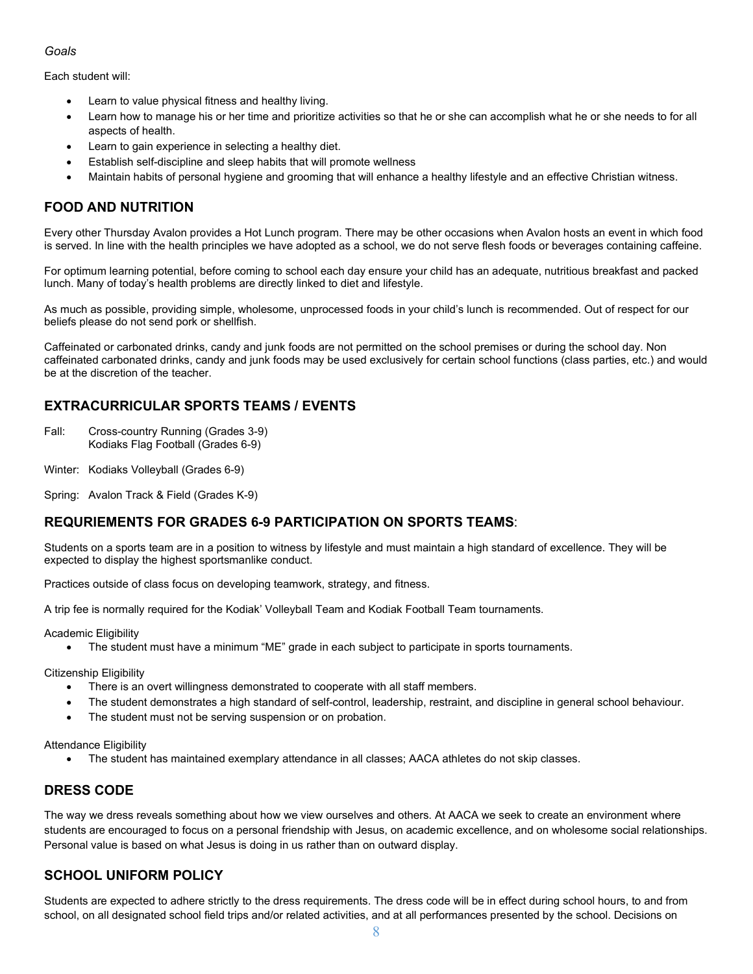#### *Goals*

Each student will:

- Learn to value physical fitness and healthy living.
- Learn how to manage his or her time and prioritize activities so that he or she can accomplish what he or she needs to for all aspects of health.
- Learn to gain experience in selecting a healthy diet.
- Establish self-discipline and sleep habits that will promote wellness
- Maintain habits of personal hygiene and grooming that will enhance a healthy lifestyle and an effective Christian witness.

## **FOOD AND NUTRITION**

Every other Thursday Avalon provides a Hot Lunch program. There may be other occasions when Avalon hosts an event in which food is served. In line with the health principles we have adopted as a school, we do not serve flesh foods or beverages containing caffeine.

For optimum learning potential, before coming to school each day ensure your child has an adequate, nutritious breakfast and packed lunch. Many of today's health problems are directly linked to diet and lifestyle.

As much as possible, providing simple, wholesome, unprocessed foods in your child's lunch is recommended. Out of respect for our beliefs please do not send pork or shellfish.

Caffeinated or carbonated drinks, candy and junk foods are not permitted on the school premises or during the school day. Non caffeinated carbonated drinks, candy and junk foods may be used exclusively for certain school functions (class parties, etc.) and would be at the discretion of the teacher.

# **EXTRACURRICULAR SPORTS TEAMS / EVENTS**

- Fall: Cross-country Running (Grades 3-9) Kodiaks Flag Football (Grades 6-9)
- Winter: Kodiaks Volleyball (Grades 6-9)

Spring: Avalon Track & Field (Grades K-9)

### **REQURIEMENTS FOR GRADES 6-9 PARTICIPATION ON SPORTS TEAMS**:

Students on a sports team are in a position to witness by lifestyle and must maintain a high standard of excellence. They will be expected to display the highest sportsmanlike conduct.

Practices outside of class focus on developing teamwork, strategy, and fitness.

A trip fee is normally required for the Kodiak' Volleyball Team and Kodiak Football Team tournaments.

Academic Eligibility

• The student must have a minimum "ME" grade in each subject to participate in sports tournaments.

Citizenship Eligibility

- There is an overt willingness demonstrated to cooperate with all staff members.
- The student demonstrates a high standard of self-control, leadership, restraint, and discipline in general school behaviour.
- The student must not be serving suspension or on probation.

Attendance Eligibility

• The student has maintained exemplary attendance in all classes; AACA athletes do not skip classes.

## **DRESS CODE**

The way we dress reveals something about how we view ourselves and others. At AACA we seek to create an environment where students are encouraged to focus on a personal friendship with Jesus, on academic excellence, and on wholesome social relationships. Personal value is based on what Jesus is doing in us rather than on outward display.

## **SCHOOL UNIFORM POLICY**

Students are expected to adhere strictly to the dress requirements. The dress code will be in effect during school hours, to and from school, on all designated school field trips and/or related activities, and at all performances presented by the school. Decisions on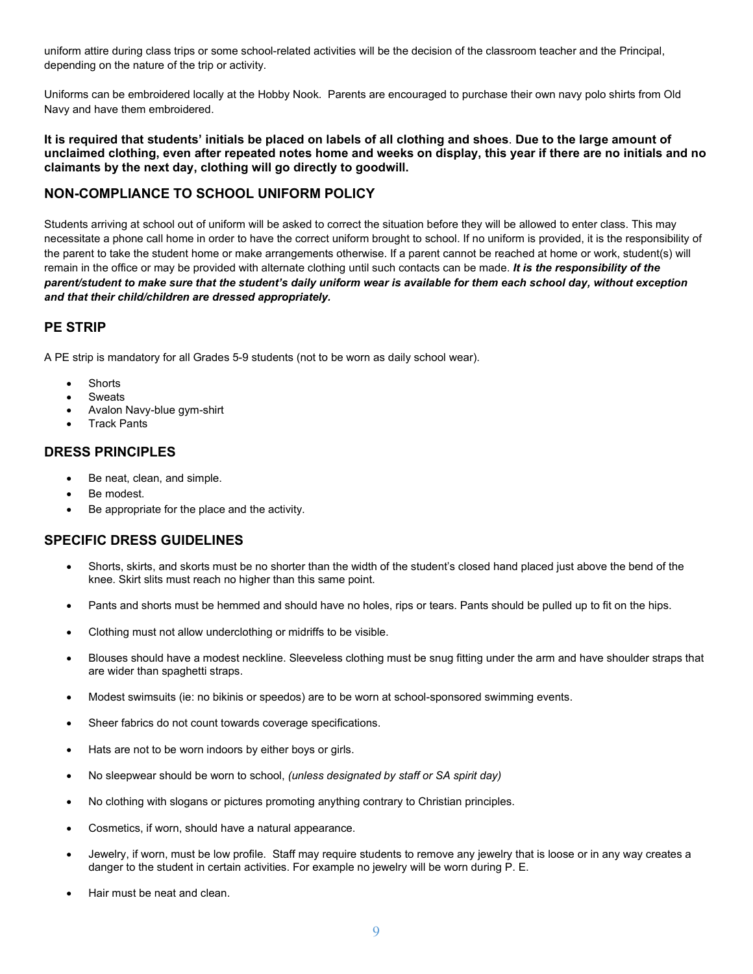uniform attire during class trips or some school-related activities will be the decision of the classroom teacher and the Principal, depending on the nature of the trip or activity.

Uniforms can be embroidered locally at the Hobby Nook. Parents are encouraged to purchase their own navy polo shirts from Old Navy and have them embroidered.

#### **It is required that students' initials be placed on labels of all clothing and shoes**. **Due to the large amount of unclaimed clothing, even after repeated notes home and weeks on display, this year if there are no initials and no claimants by the next day, clothing will go directly to goodwill.**

# **NON-COMPLIANCE TO SCHOOL UNIFORM POLICY**

Students arriving at school out of uniform will be asked to correct the situation before they will be allowed to enter class. This may necessitate a phone call home in order to have the correct uniform brought to school. If no uniform is provided, it is the responsibility of the parent to take the student home or make arrangements otherwise. If a parent cannot be reached at home or work, student(s) will remain in the office or may be provided with alternate clothing until such contacts can be made. *It is the responsibility of the parent/student to make sure that the student's daily uniform wear is available for them each school day, without exception and that their child/children are dressed appropriately.*

## **PE STRIP**

A PE strip is mandatory for all Grades 5-9 students (not to be worn as daily school wear).

- **Shorts**
- **Sweats**
- Avalon Navy-blue gym-shirt
- **Track Pants**

### **DRESS PRINCIPLES**

- Be neat, clean, and simple.
- Be modest.
- Be appropriate for the place and the activity.

## **SPECIFIC DRESS GUIDELINES**

- Shorts, skirts, and skorts must be no shorter than the width of the student's closed hand placed just above the bend of the knee. Skirt slits must reach no higher than this same point.
- Pants and shorts must be hemmed and should have no holes, rips or tears. Pants should be pulled up to fit on the hips.
- Clothing must not allow underclothing or midriffs to be visible.
- Blouses should have a modest neckline. Sleeveless clothing must be snug fitting under the arm and have shoulder straps that are wider than spaghetti straps.
- Modest swimsuits (ie: no bikinis or speedos) are to be worn at school-sponsored swimming events.
- Sheer fabrics do not count towards coverage specifications.
- Hats are not to be worn indoors by either boys or girls.
- No sleepwear should be worn to school, *(unless designated by staff or SA spirit day)*
- No clothing with slogans or pictures promoting anything contrary to Christian principles.
- Cosmetics, if worn, should have a natural appearance.
- Jewelry, if worn, must be low profile. Staff may require students to remove any jewelry that is loose or in any way creates a danger to the student in certain activities. For example no jewelry will be worn during P. E.
- Hair must be neat and clean.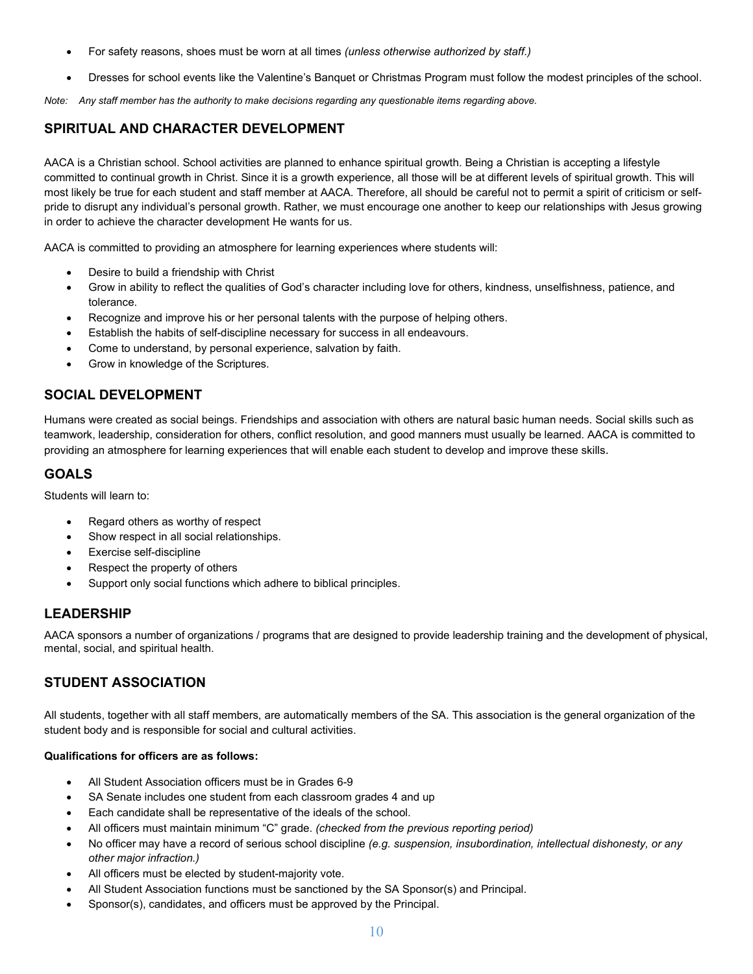- For safety reasons, shoes must be worn at all times *(unless otherwise authorized by staff.)*
- Dresses for school events like the Valentine's Banquet or Christmas Program must follow the modest principles of the school.

*Note: Any staff member has the authority to make decisions regarding any questionable items regarding above.*

# **SPIRITUAL AND CHARACTER DEVELOPMENT**

AACA is a Christian school. School activities are planned to enhance spiritual growth. Being a Christian is accepting a lifestyle committed to continual growth in Christ. Since it is a growth experience, all those will be at different levels of spiritual growth. This will most likely be true for each student and staff member at AACA. Therefore, all should be careful not to permit a spirit of criticism or selfpride to disrupt any individual's personal growth. Rather, we must encourage one another to keep our relationships with Jesus growing in order to achieve the character development He wants for us.

AACA is committed to providing an atmosphere for learning experiences where students will:

- Desire to build a friendship with Christ
- Grow in ability to reflect the qualities of God's character including love for others, kindness, unselfishness, patience, and tolerance.
- Recognize and improve his or her personal talents with the purpose of helping others.
- Establish the habits of self-discipline necessary for success in all endeavours.
- Come to understand, by personal experience, salvation by faith.
- Grow in knowledge of the Scriptures.

## **SOCIAL DEVELOPMENT**

Humans were created as social beings. Friendships and association with others are natural basic human needs. Social skills such as teamwork, leadership, consideration for others, conflict resolution, and good manners must usually be learned. AACA is committed to providing an atmosphere for learning experiences that will enable each student to develop and improve these skills.

## **GOALS**

Students will learn to:

- Regard others as worthy of respect
- Show respect in all social relationships.
- Exercise self-discipline
- Respect the property of others
- Support only social functions which adhere to biblical principles.

### **LEADERSHIP**

AACA sponsors a number of organizations / programs that are designed to provide leadership training and the development of physical, mental, social, and spiritual health.

## **STUDENT ASSOCIATION**

All students, together with all staff members, are automatically members of the SA. This association is the general organization of the student body and is responsible for social and cultural activities.

#### **Qualifications for officers are as follows:**

- All Student Association officers must be in Grades 6-9
- SA Senate includes one student from each classroom grades 4 and up
- Each candidate shall be representative of the ideals of the school.
- All officers must maintain minimum "C" grade. *(checked from the previous reporting period)*
- No officer may have a record of serious school discipline *(e.g. suspension, insubordination, intellectual dishonesty, or any other major infraction.)*
- All officers must be elected by student-majority vote.
- All Student Association functions must be sanctioned by the SA Sponsor(s) and Principal.
- Sponsor(s), candidates, and officers must be approved by the Principal.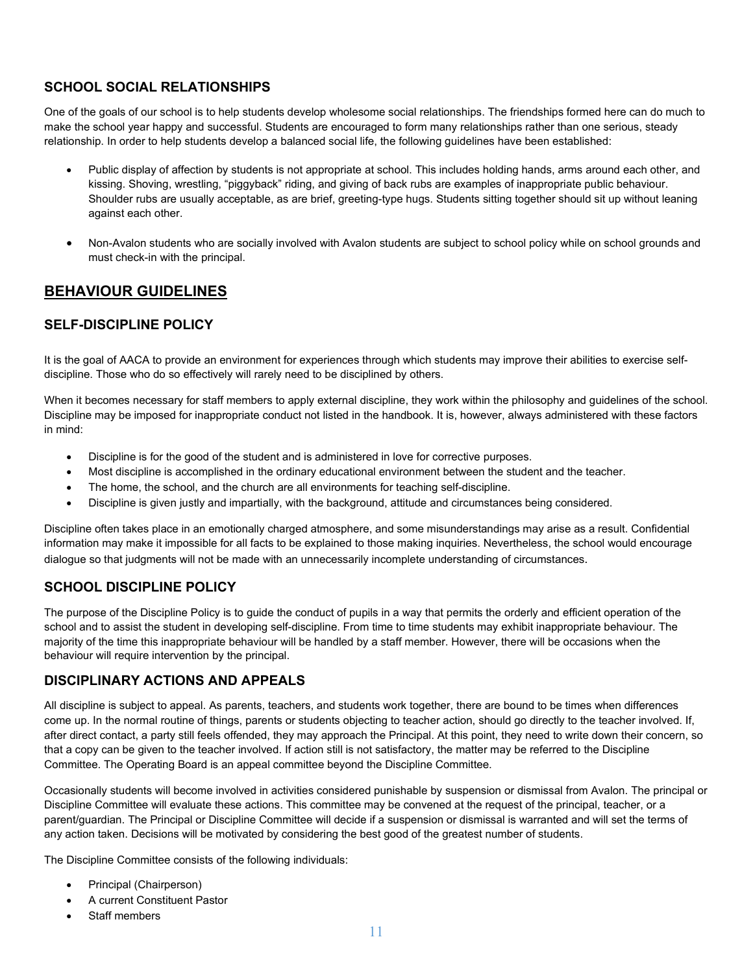# **SCHOOL SOCIAL RELATIONSHIPS**

One of the goals of our school is to help students develop wholesome social relationships. The friendships formed here can do much to make the school year happy and successful. Students are encouraged to form many relationships rather than one serious, steady relationship. In order to help students develop a balanced social life, the following guidelines have been established:

- Public display of affection by students is not appropriate at school. This includes holding hands, arms around each other, and kissing. Shoving, wrestling, "piggyback" riding, and giving of back rubs are examples of inappropriate public behaviour. Shoulder rubs are usually acceptable, as are brief, greeting-type hugs. Students sitting together should sit up without leaning against each other.
- Non-Avalon students who are socially involved with Avalon students are subject to school policy while on school grounds and must check-in with the principal.

# **BEHAVIOUR GUIDELINES**

# **SELF-DISCIPLINE POLICY**

It is the goal of AACA to provide an environment for experiences through which students may improve their abilities to exercise selfdiscipline. Those who do so effectively will rarely need to be disciplined by others.

When it becomes necessary for staff members to apply external discipline, they work within the philosophy and guidelines of the school. Discipline may be imposed for inappropriate conduct not listed in the handbook. It is, however, always administered with these factors in mind:

- Discipline is for the good of the student and is administered in love for corrective purposes.
- Most discipline is accomplished in the ordinary educational environment between the student and the teacher.
- The home, the school, and the church are all environments for teaching self-discipline.
- Discipline is given justly and impartially, with the background, attitude and circumstances being considered.

Discipline often takes place in an emotionally charged atmosphere, and some misunderstandings may arise as a result. Confidential information may make it impossible for all facts to be explained to those making inquiries. Nevertheless, the school would encourage dialogue so that judgments will not be made with an unnecessarily incomplete understanding of circumstances.

## **SCHOOL DISCIPLINE POLICY**

The purpose of the Discipline Policy is to guide the conduct of pupils in a way that permits the orderly and efficient operation of the school and to assist the student in developing self-discipline. From time to time students may exhibit inappropriate behaviour. The majority of the time this inappropriate behaviour will be handled by a staff member. However, there will be occasions when the behaviour will require intervention by the principal.

### **DISCIPLINARY ACTIONS AND APPEALS**

All discipline is subject to appeal. As parents, teachers, and students work together, there are bound to be times when differences come up. In the normal routine of things, parents or students objecting to teacher action, should go directly to the teacher involved. If, after direct contact, a party still feels offended, they may approach the Principal. At this point, they need to write down their concern, so that a copy can be given to the teacher involved. If action still is not satisfactory, the matter may be referred to the Discipline Committee. The Operating Board is an appeal committee beyond the Discipline Committee.

Occasionally students will become involved in activities considered punishable by suspension or dismissal from Avalon. The principal or Discipline Committee will evaluate these actions. This committee may be convened at the request of the principal, teacher, or a parent/guardian. The Principal or Discipline Committee will decide if a suspension or dismissal is warranted and will set the terms of any action taken. Decisions will be motivated by considering the best good of the greatest number of students.

The Discipline Committee consists of the following individuals:

- Principal (Chairperson)
- A current Constituent Pastor
- Staff members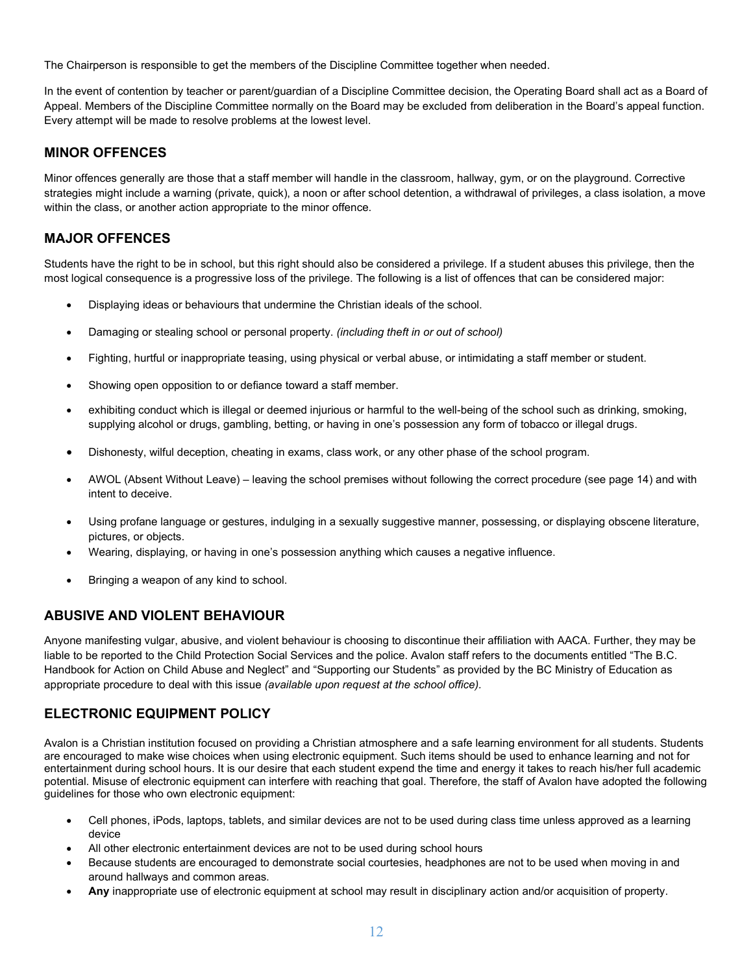The Chairperson is responsible to get the members of the Discipline Committee together when needed.

In the event of contention by teacher or parent/guardian of a Discipline Committee decision, the Operating Board shall act as a Board of Appeal. Members of the Discipline Committee normally on the Board may be excluded from deliberation in the Board's appeal function. Every attempt will be made to resolve problems at the lowest level.

## **MINOR OFFENCES**

Minor offences generally are those that a staff member will handle in the classroom, hallway, gym, or on the playground. Corrective strategies might include a warning (private, quick), a noon or after school detention, a withdrawal of privileges, a class isolation, a move within the class, or another action appropriate to the minor offence.

## **MAJOR OFFENCES**

Students have the right to be in school, but this right should also be considered a privilege. If a student abuses this privilege, then the most logical consequence is a progressive loss of the privilege. The following is a list of offences that can be considered major:

- Displaying ideas or behaviours that undermine the Christian ideals of the school.
- Damaging or stealing school or personal property. *(including theft in or out of school)*
- Fighting, hurtful or inappropriate teasing, using physical or verbal abuse, or intimidating a staff member or student.
- Showing open opposition to or defiance toward a staff member.
- exhibiting conduct which is illegal or deemed injurious or harmful to the well-being of the school such as drinking, smoking, supplying alcohol or drugs, gambling, betting, or having in one's possession any form of tobacco or illegal drugs.
- Dishonesty, wilful deception, cheating in exams, class work, or any other phase of the school program.
- AWOL (Absent Without Leave) leaving the school premises without following the correct procedure (see page 14) and with intent to deceive.
- Using profane language or gestures, indulging in a sexually suggestive manner, possessing, or displaying obscene literature, pictures, or objects.
- Wearing, displaying, or having in one's possession anything which causes a negative influence.
- Bringing a weapon of any kind to school.

## **ABUSIVE AND VIOLENT BEHAVIOUR**

Anyone manifesting vulgar, abusive, and violent behaviour is choosing to discontinue their affiliation with AACA. Further, they may be liable to be reported to the Child Protection Social Services and the police. Avalon staff refers to the documents entitled "The B.C. Handbook for Action on Child Abuse and Neglect" and "Supporting our Students" as provided by the BC Ministry of Education as appropriate procedure to deal with this issue *(available upon request at the school office).*

## **ELECTRONIC EQUIPMENT POLICY**

Avalon is a Christian institution focused on providing a Christian atmosphere and a safe learning environment for all students. Students are encouraged to make wise choices when using electronic equipment. Such items should be used to enhance learning and not for entertainment during school hours. It is our desire that each student expend the time and energy it takes to reach his/her full academic potential. Misuse of electronic equipment can interfere with reaching that goal. Therefore, the staff of Avalon have adopted the following guidelines for those who own electronic equipment:

- Cell phones, iPods, laptops, tablets, and similar devices are not to be used during class time unless approved as a learning device
- All other electronic entertainment devices are not to be used during school hours
- Because students are encouraged to demonstrate social courtesies, headphones are not to be used when moving in and around hallways and common areas.
- **Any** inappropriate use of electronic equipment at school may result in disciplinary action and/or acquisition of property.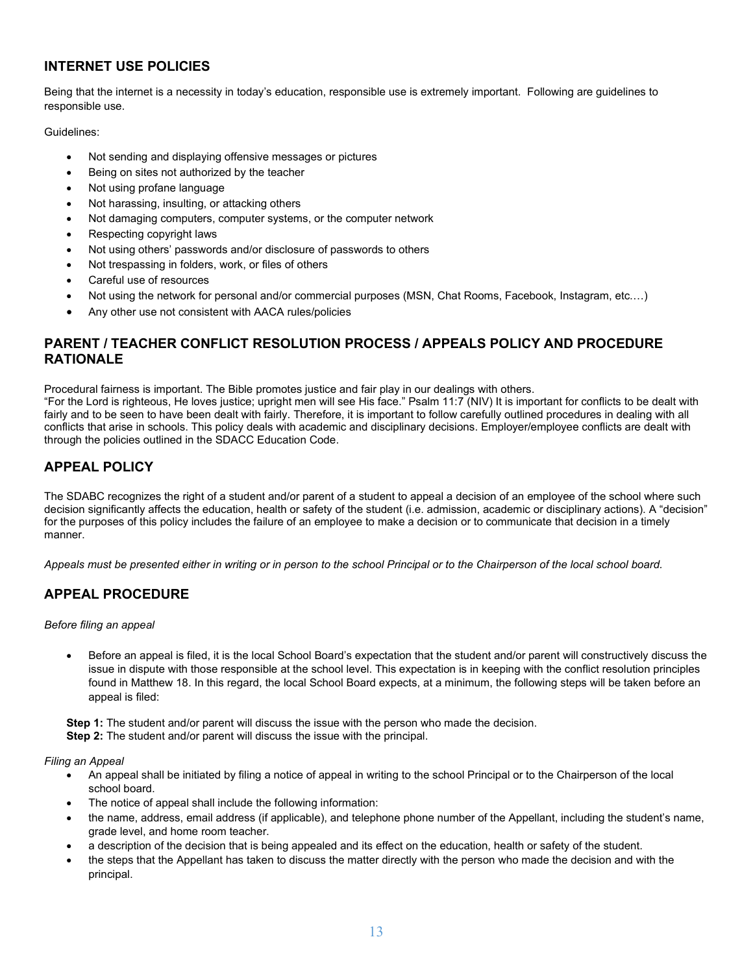# **INTERNET USE POLICIES**

Being that the internet is a necessity in today's education, responsible use is extremely important. Following are guidelines to responsible use.

Guidelines:

- Not sending and displaying offensive messages or pictures
- Being on sites not authorized by the teacher
- Not using profane language
- Not harassing, insulting, or attacking others
- Not damaging computers, computer systems, or the computer network
- Respecting copyright laws
- Not using others' passwords and/or disclosure of passwords to others
- Not trespassing in folders, work, or files of others
- Careful use of resources
- Not using the network for personal and/or commercial purposes (MSN, Chat Rooms, Facebook, Instagram, etc.…)
- Any other use not consistent with AACA rules/policies

## **PARENT / TEACHER CONFLICT RESOLUTION PROCESS / APPEALS POLICY AND PROCEDURE RATIONALE**

Procedural fairness is important. The Bible promotes justice and fair play in our dealings with others. "For the Lord is righteous, He loves justice; upright men will see His face." Psalm 11:7 (NIV) It is important for conflicts to be dealt with fairly and to be seen to have been dealt with fairly. Therefore, it is important to follow carefully outlined procedures in dealing with all conflicts that arise in schools. This policy deals with academic and disciplinary decisions. Employer/employee conflicts are dealt with through the policies outlined in the SDACC Education Code.

## **APPEAL POLICY**

The SDABC recognizes the right of a student and/or parent of a student to appeal a decision of an employee of the school where such decision significantly affects the education, health or safety of the student (i.e. admission, academic or disciplinary actions). A "decision" for the purposes of this policy includes the failure of an employee to make a decision or to communicate that decision in a timely manner.

*Appeals must be presented either in writing or in person to the school Principal or to the Chairperson of the local school board.* 

## **APPEAL PROCEDURE**

*Before filing an appeal* 

• Before an appeal is filed, it is the local School Board's expectation that the student and/or parent will constructively discuss the issue in dispute with those responsible at the school level. This expectation is in keeping with the conflict resolution principles found in Matthew 18. In this regard, the local School Board expects, at a minimum, the following steps will be taken before an appeal is filed:

**Step 1:** The student and/or parent will discuss the issue with the person who made the decision. **Step 2:** The student and/or parent will discuss the issue with the principal.

*Filing an Appeal* 

- An appeal shall be initiated by filing a notice of appeal in writing to the school Principal or to the Chairperson of the local school board.
- The notice of appeal shall include the following information:
- the name, address, email address (if applicable), and telephone phone number of the Appellant, including the student's name, grade level, and home room teacher.
- a description of the decision that is being appealed and its effect on the education, health or safety of the student.
- the steps that the Appellant has taken to discuss the matter directly with the person who made the decision and with the principal.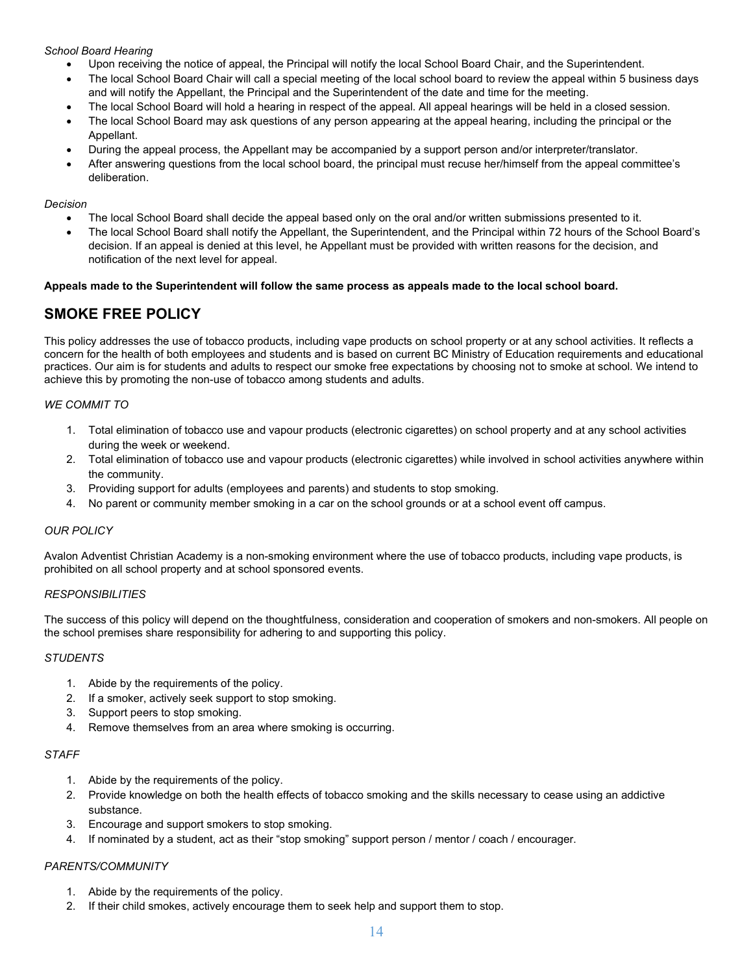#### *School Board Hearing*

- Upon receiving the notice of appeal, the Principal will notify the local School Board Chair, and the Superintendent.
- The local School Board Chair will call a special meeting of the local school board to review the appeal within 5 business days and will notify the Appellant, the Principal and the Superintendent of the date and time for the meeting.
- The local School Board will hold a hearing in respect of the appeal. All appeal hearings will be held in a closed session.
- The local School Board may ask questions of any person appearing at the appeal hearing, including the principal or the Appellant.
- During the appeal process, the Appellant may be accompanied by a support person and/or interpreter/translator.
- After answering questions from the local school board, the principal must recuse her/himself from the appeal committee's deliberation.

#### *Decision*

- The local School Board shall decide the appeal based only on the oral and/or written submissions presented to it.
- The local School Board shall notify the Appellant, the Superintendent, and the Principal within 72 hours of the School Board's decision. If an appeal is denied at this level, he Appellant must be provided with written reasons for the decision, and notification of the next level for appeal.

#### **Appeals made to the Superintendent will follow the same process as appeals made to the local school board.**

# **SMOKE FREE POLICY**

This policy addresses the use of tobacco products, including vape products on school property or at any school activities. It reflects a concern for the health of both employees and students and is based on current BC Ministry of Education requirements and educational practices. Our aim is for students and adults to respect our smoke free expectations by choosing not to smoke at school. We intend to achieve this by promoting the non-use of tobacco among students and adults.

#### *WE COMMIT TO*

- 1. Total elimination of tobacco use and vapour products (electronic cigarettes) on school property and at any school activities during the week or weekend.
- 2. Total elimination of tobacco use and vapour products (electronic cigarettes) while involved in school activities anywhere within the community.
- 3. Providing support for adults (employees and parents) and students to stop smoking.
- 4. No parent or community member smoking in a car on the school grounds or at a school event off campus.

#### *OUR POLICY*

Avalon Adventist Christian Academy is a non-smoking environment where the use of tobacco products, including vape products, is prohibited on all school property and at school sponsored events.

#### *RESPONSIBILITIES*

The success of this policy will depend on the thoughtfulness, consideration and cooperation of smokers and non-smokers. All people on the school premises share responsibility for adhering to and supporting this policy.

#### *STUDENTS*

- 1. Abide by the requirements of the policy.
- 2. If a smoker, actively seek support to stop smoking.
- 3. Support peers to stop smoking.
- 4. Remove themselves from an area where smoking is occurring.

#### *STAFF*

- 1. Abide by the requirements of the policy.
- 2. Provide knowledge on both the health effects of tobacco smoking and the skills necessary to cease using an addictive substance.
- 3. Encourage and support smokers to stop smoking.
- 4. If nominated by a student, act as their "stop smoking" support person / mentor / coach / encourager.

#### *PARENTS/COMMUNITY*

- 1. Abide by the requirements of the policy.
- 2. If their child smokes, actively encourage them to seek help and support them to stop.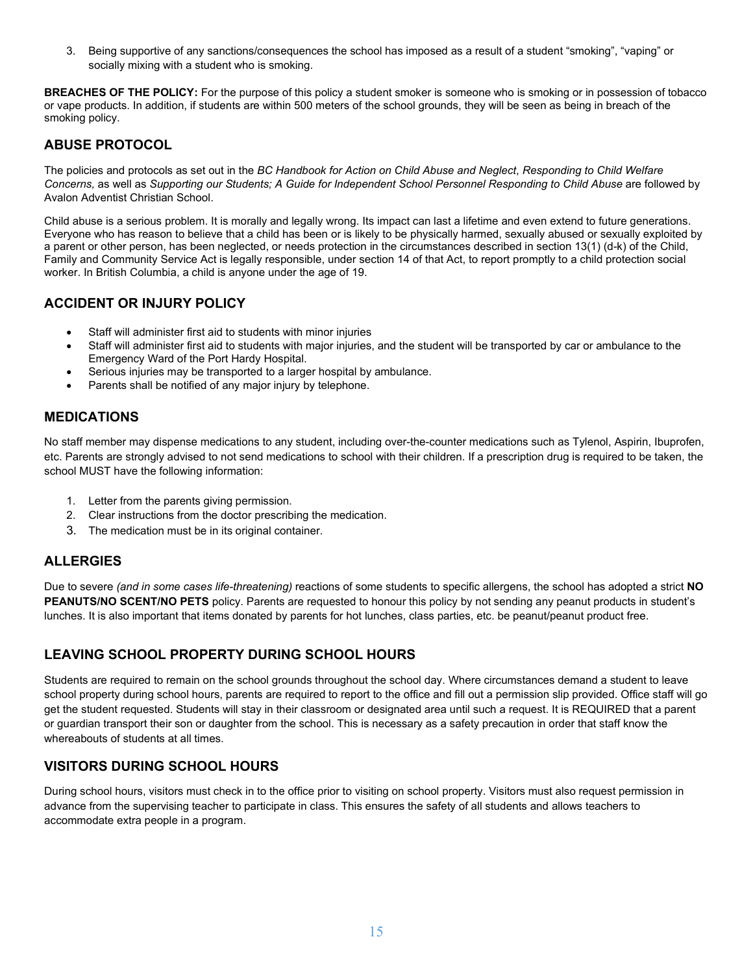3. Being supportive of any sanctions/consequences the school has imposed as a result of a student "smoking", "vaping" or socially mixing with a student who is smoking.

**BREACHES OF THE POLICY:** For the purpose of this policy a student smoker is someone who is smoking or in possession of tobacco or vape products. In addition, if students are within 500 meters of the school grounds, they will be seen as being in breach of the smoking policy.

# **ABUSE PROTOCOL**

The policies and protocols as set out in the *BC Handbook for Action on Child Abuse and Neglect*, *Responding to Child Welfare Concerns,* as well as *Supporting our Students; A Guide for Independent School Personnel Responding to Child Abuse* are followed by Avalon Adventist Christian School.

Child abuse is a serious problem. It is morally and legally wrong. Its impact can last a lifetime and even extend to future generations. Everyone who has reason to believe that a child has been or is likely to be physically harmed, sexually abused or sexually exploited by a parent or other person, has been neglected, or needs protection in the circumstances described in section 13(1) (d-k) of the Child, Family and Community Service Act is legally responsible, under section 14 of that Act, to report promptly to a child protection social worker. In British Columbia, a child is anyone under the age of 19.

# **ACCIDENT OR INJURY POLICY**

- Staff will administer first aid to students with minor injuries
- Staff will administer first aid to students with major injuries, and the student will be transported by car or ambulance to the Emergency Ward of the Port Hardy Hospital.
- Serious injuries may be transported to a larger hospital by ambulance.
- Parents shall be notified of any major injury by telephone.

# **MEDICATIONS**

No staff member may dispense medications to any student, including over-the-counter medications such as Tylenol, Aspirin, Ibuprofen, etc. Parents are strongly advised to not send medications to school with their children. If a prescription drug is required to be taken, the school MUST have the following information:

- 1. Letter from the parents giving permission.
- 2. Clear instructions from the doctor prescribing the medication.
- 3. The medication must be in its original container.

# **ALLERGIES**

Due to severe *(and in some cases life-threatening)* reactions of some students to specific allergens, the school has adopted a strict **NO PEANUTS/NO SCENT/NO PETS** policy. Parents are requested to honour this policy by not sending any peanut products in student's lunches. It is also important that items donated by parents for hot lunches, class parties, etc. be peanut/peanut product free.

# **LEAVING SCHOOL PROPERTY DURING SCHOOL HOURS**

Students are required to remain on the school grounds throughout the school day. Where circumstances demand a student to leave school property during school hours, parents are required to report to the office and fill out a permission slip provided. Office staff will go get the student requested. Students will stay in their classroom or designated area until such a request. It is REQUIRED that a parent or guardian transport their son or daughter from the school. This is necessary as a safety precaution in order that staff know the whereabouts of students at all times.

# **VISITORS DURING SCHOOL HOURS**

During school hours, visitors must check in to the office prior to visiting on school property. Visitors must also request permission in advance from the supervising teacher to participate in class. This ensures the safety of all students and allows teachers to accommodate extra people in a program.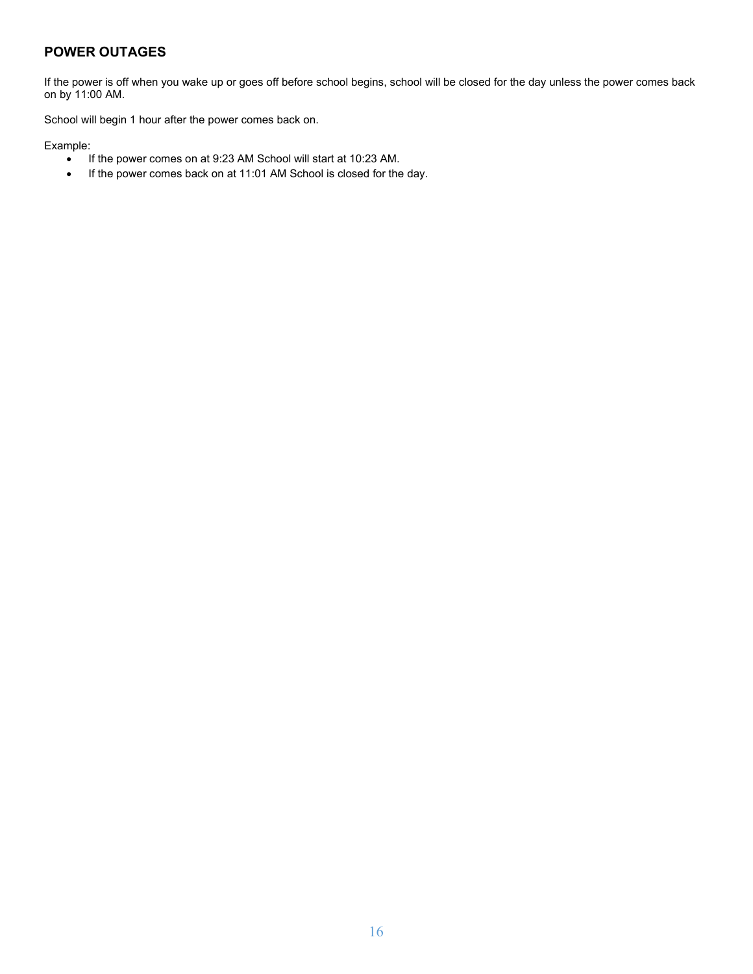# **POWER OUTAGES**

If the power is off when you wake up or goes off before school begins, school will be closed for the day unless the power comes back on by 11:00 AM.

School will begin 1 hour after the power comes back on.

Example:

- If the power comes on at 9:23 AM School will start at 10:23 AM.
- If the power comes back on at 11:01 AM School is closed for the day.